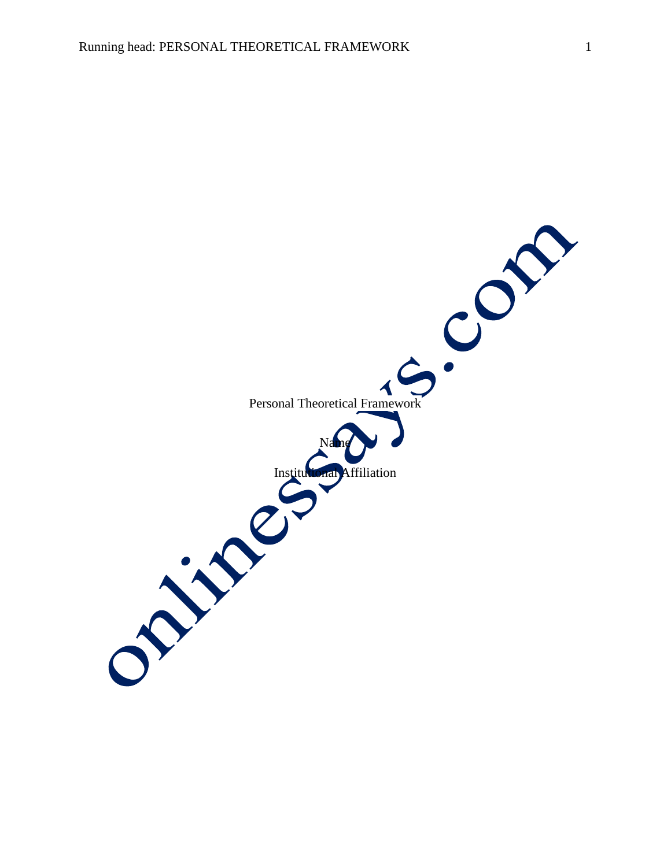Personal Theoretical Framework  $\blacktriangleleft$ Name Affiliation ON SPRING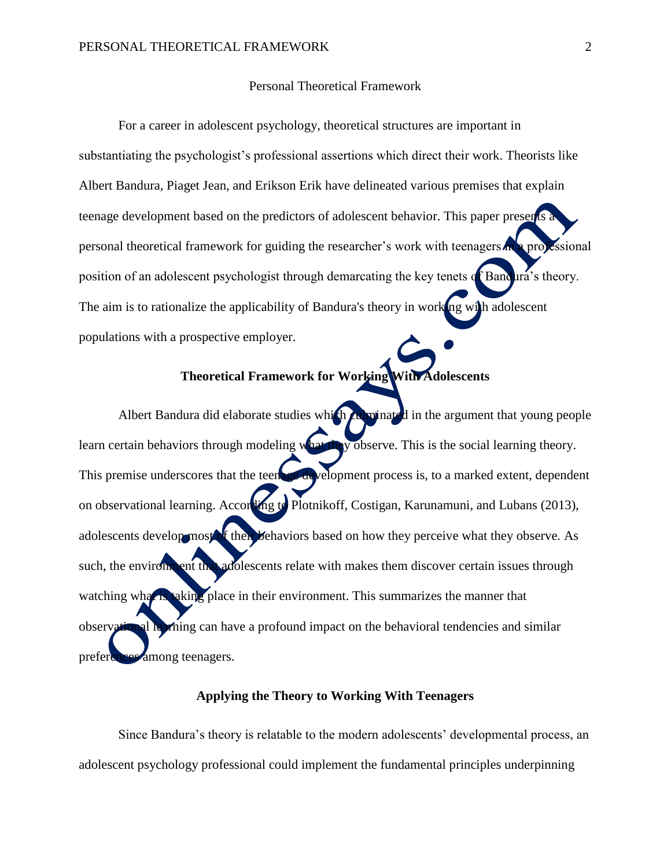## Personal Theoretical Framework

For a career in adolescent psychology, theoretical structures are important in substantiating the psychologist's professional assertions which direct their work. Theorists like Albert Bandura, Piaget Jean, and Erikson Erik have delineated various premises that explain teenage development based on the predictors of adolescent behavior. This paper presents a personal theoretical framework for guiding the researcher's work with teenagers in a projessional position of an adolescent psychologist through demarcating the key tenets of Bandura's theory. The aim is to rationalize the applicability of Bandura's theory in working with adolescent populations with a prospective employer.

# **Theoretical Framework for Working With Adolescents**

Albert Bandura did elaborate studies which culminated in the argument that young people learn certain behaviors through modeling what they observe. This is the social learning theory. This premise underscores that the teenage development process is, to a marked extent, dependent on observational learning. According to Plotnikoff, Costigan, Karunamuni, and Lubans (2013), adolescents develop most of their behaviors based on how they perceive what they observe. As such, the environment that adolescents relate with makes them discover certain issues through watching what is taking place in their environment. This summarizes the manner that observational learning can have a profound impact on the behavioral tendencies and similar preferences among teenagers.

## **Applying the Theory to Working With Teenagers**

Since Bandura's theory is relatable to the modern adolescents' developmental process, an adolescent psychology professional could implement the fundamental principles underpinning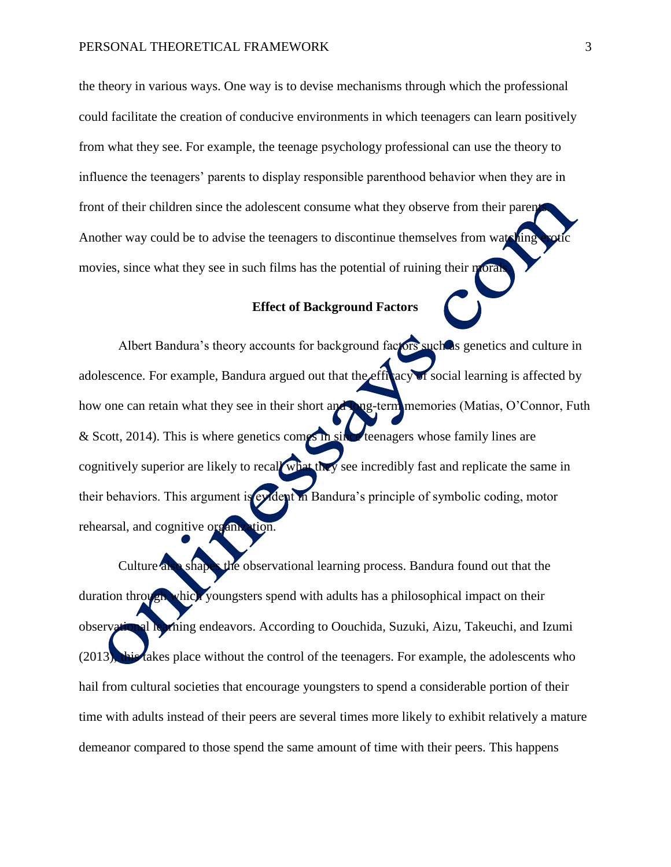the theory in various ways. One way is to devise mechanisms through which the professional could facilitate the creation of conducive environments in which teenagers can learn positively from what they see. For example, the teenage psychology professional can use the theory to influence the teenagers' parents to display responsible parenthood behavior when they are in front of their children since the adolescent consume what they observe from their parents. Another way could be to advise the teenagers to discontinue themselves from watching movies, since what they see in such films has the potential of ruining their moral

## **Effect of Background Factors**

Albert Bandura's theory accounts for background factors such as genetics and culture in adolescence. For example, Bandura argued out that the efficacy of social learning is affected by how one can retain what they see in their short and long-term memories (Matias, O'Connor, Futh & Scott, 2014). This is where genetics comes in since teenagers whose family lines are cognitively superior are likely to recall what they see incredibly fast and replicate the same in their behaviors. This argument is evident in Bandura's principle of symbolic coding, motor rehearsal, and cognitive organization.

Culture also shapes the observational learning process. Bandura found out that the duration through which youngsters spend with adults has a philosophical impact on their observational learning endeavors. According to Oouchida, Suzuki, Aizu, Takeuchi, and Izumi (2013), this takes place without the control of the teenagers. For example, the adolescents who hail from cultural societies that encourage youngsters to spend a considerable portion of their time with adults instead of their peers are several times more likely to exhibit relatively a mature demeanor compared to those spend the same amount of time with their peers. This happens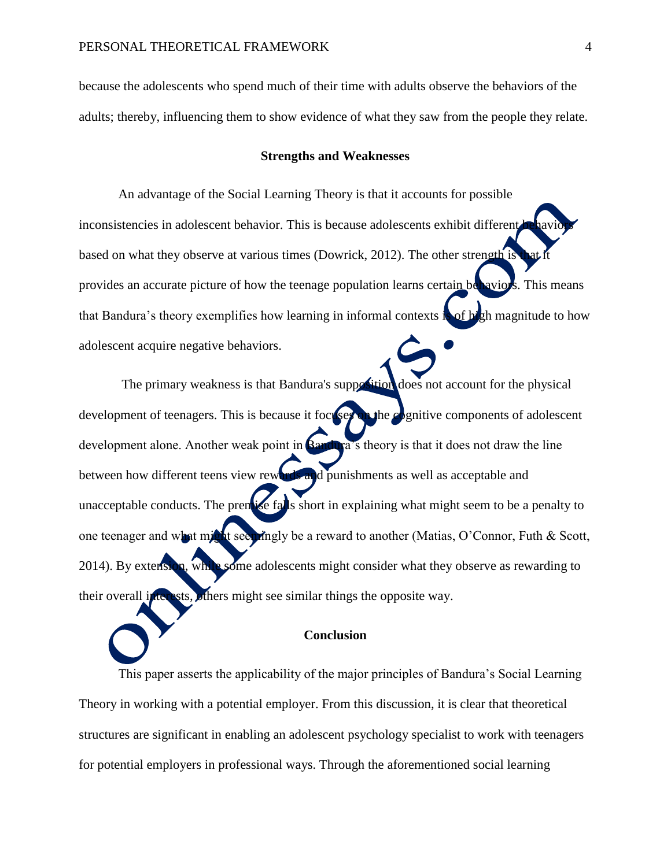because the adolescents who spend much of their time with adults observe the behaviors of the adults; thereby, influencing them to show evidence of what they saw from the people they relate.

#### **Strengths and Weaknesses**

An advantage of the Social Learning Theory is that it accounts for possible inconsistencies in adolescent behavior. This is because adolescents exhibit different based on what they observe at various times (Dowrick, 2012). The other strength is provides an accurate picture of how the teenage population learns certain behaviors. This means that Bandura's theory exemplifies how learning in informal contexts is of high magnitude to how adolescent acquire negative behaviors.

The primary weakness is that Bandura's supposition does not account for the physical development of teenagers. This is because it focuses on the cognitive components of adolescent development alone. Another weak point in **Bandura**'s theory is that it does not draw the line between how different teens view rewards and punishments as well as acceptable and unacceptable conducts. The premise falls short in explaining what might seem to be a penalty to one teenager and what might seemingly be a reward to another (Matias, O'Connor, Futh & Scott, 2014). By extension, while some adolescents might consider what they observe as rewarding to their overall interests, others might see similar things the opposite way.

#### **Conclusion**

This paper asserts the applicability of the major principles of Bandura's Social Learning Theory in working with a potential employer. From this discussion, it is clear that theoretical structures are significant in enabling an adolescent psychology specialist to work with teenagers for potential employers in professional ways. Through the aforementioned social learning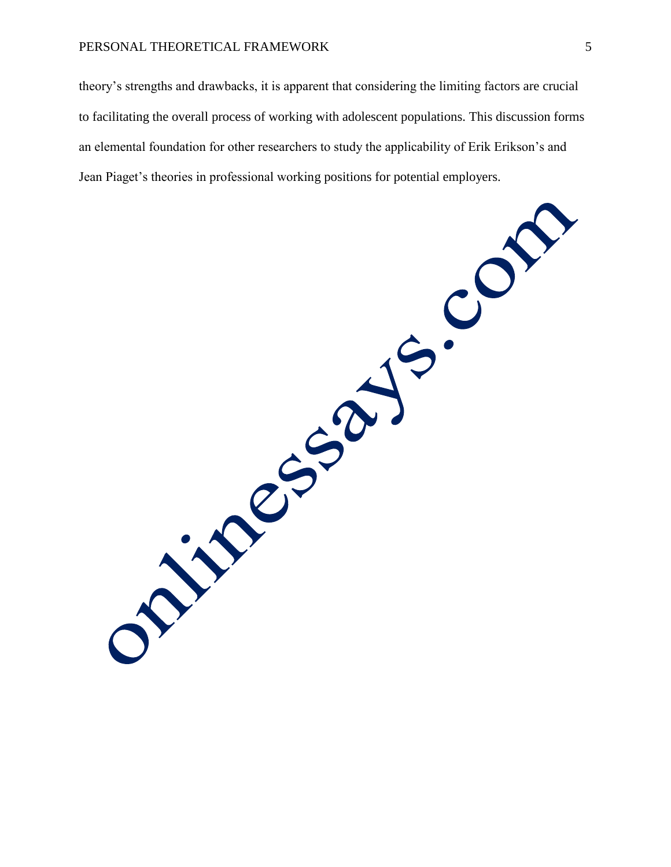## PERSONAL THEORETICAL FRAMEWORK 5

theory's strengths and drawbacks, it is apparent that considering the limiting factors are crucial to facilitating the overall process of working with adolescent populations. This discussion forms an elemental foundation for other researchers to study the applicability of Erik Erikson's and Jean Piaget's theories in professional working positions for potential employers.

JS. ON ONLINE SSOL